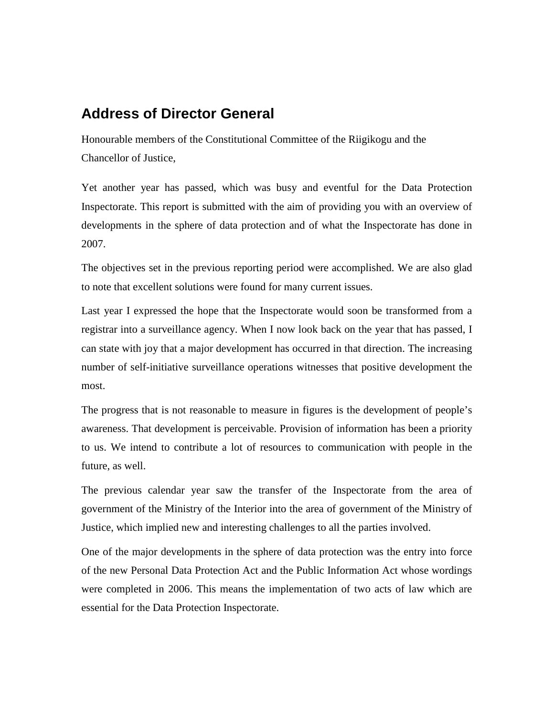## **Address of Director General**

Honourable members of the Constitutional Committee of the Riigikogu and the Chancellor of Justice,

Yet another year has passed, which was busy and eventful for the Data Protection Inspectorate. This report is submitted with the aim of providing you with an overview of developments in the sphere of data protection and of what the Inspectorate has done in 2007.

The objectives set in the previous reporting period were accomplished. We are also glad to note that excellent solutions were found for many current issues.

Last year I expressed the hope that the Inspectorate would soon be transformed from a registrar into a surveillance agency. When I now look back on the year that has passed, I can state with joy that a major development has occurred in that direction. The increasing number of self-initiative surveillance operations witnesses that positive development the most.

The progress that is not reasonable to measure in figures is the development of people's awareness. That development is perceivable. Provision of information has been a priority to us. We intend to contribute a lot of resources to communication with people in the future, as well.

The previous calendar year saw the transfer of the Inspectorate from the area of government of the Ministry of the Interior into the area of government of the Ministry of Justice, which implied new and interesting challenges to all the parties involved.

One of the major developments in the sphere of data protection was the entry into force of the new Personal Data Protection Act and the Public Information Act whose wordings were completed in 2006. This means the implementation of two acts of law which are essential for the Data Protection Inspectorate.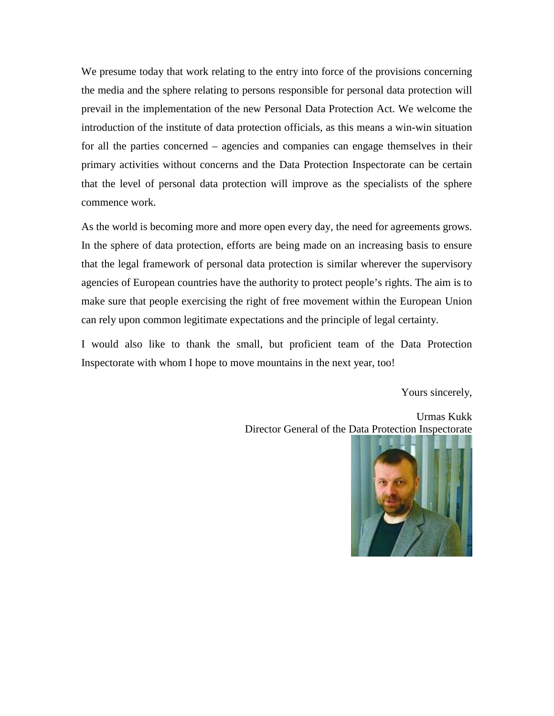We presume today that work relating to the entry into force of the provisions concerning the media and the sphere relating to persons responsible for personal data protection will prevail in the implementation of the new Personal Data Protection Act. We welcome the introduction of the institute of data protection officials, as this means a win-win situation for all the parties concerned – agencies and companies can engage themselves in their primary activities without concerns and the Data Protection Inspectorate can be certain that the level of personal data protection will improve as the specialists of the sphere commence work.

As the world is becoming more and more open every day, the need for agreements grows. In the sphere of data protection, efforts are being made on an increasing basis to ensure that the legal framework of personal data protection is similar wherever the supervisory agencies of European countries have the authority to protect people's rights. The aim is to make sure that people exercising the right of free movement within the European Union can rely upon common legitimate expectations and the principle of legal certainty.

I would also like to thank the small, but proficient team of the Data Protection Inspectorate with whom I hope to move mountains in the next year, too!

Yours sincerely,

Urmas Kukk Director General of the Data Protection Inspectorate

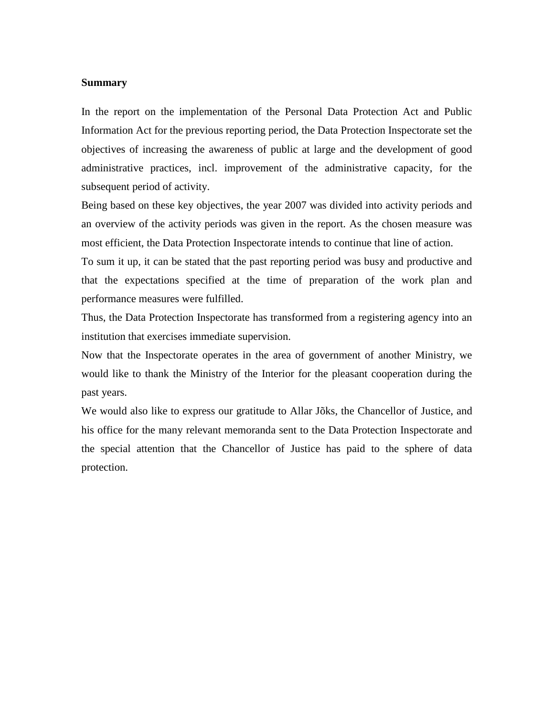## **Summary**

In the report on the implementation of the Personal Data Protection Act and Public Information Act for the previous reporting period, the Data Protection Inspectorate set the objectives of increasing the awareness of public at large and the development of good administrative practices, incl. improvement of the administrative capacity, for the subsequent period of activity.

Being based on these key objectives, the year 2007 was divided into activity periods and an overview of the activity periods was given in the report. As the chosen measure was most efficient, the Data Protection Inspectorate intends to continue that line of action.

To sum it up, it can be stated that the past reporting period was busy and productive and that the expectations specified at the time of preparation of the work plan and performance measures were fulfilled.

Thus, the Data Protection Inspectorate has transformed from a registering agency into an institution that exercises immediate supervision.

Now that the Inspectorate operates in the area of government of another Ministry, we would like to thank the Ministry of the Interior for the pleasant cooperation during the past years.

We would also like to express our gratitude to Allar Jõks, the Chancellor of Justice, and his office for the many relevant memoranda sent to the Data Protection Inspectorate and the special attention that the Chancellor of Justice has paid to the sphere of data protection.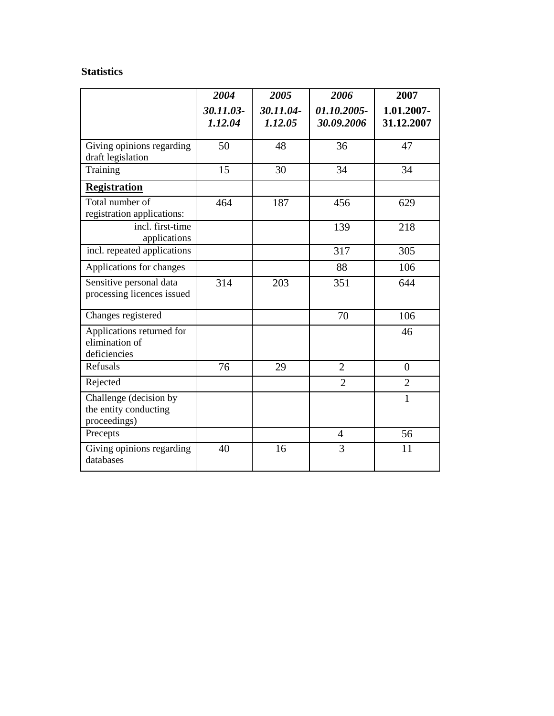## **Statistics**

|                                                                 | 2004                 | 2005                 | 2006                      | 2007                     |
|-----------------------------------------------------------------|----------------------|----------------------|---------------------------|--------------------------|
|                                                                 | 30.11.03-<br>1.12.04 | 30.11.04-<br>1.12.05 | 01.10.2005-<br>30.09.2006 | 1.01.2007-<br>31.12.2007 |
| Giving opinions regarding<br>draft legislation                  | 50                   | 48                   | 36                        | 47                       |
| Training                                                        | 15                   | 30                   | 34                        | 34                       |
| <b>Registration</b>                                             |                      |                      |                           |                          |
| Total number of<br>registration applications:                   | 464                  | 187                  | 456                       | 629                      |
| incl. first-time<br>applications                                |                      |                      | 139                       | 218                      |
| incl. repeated applications                                     |                      |                      | 317                       | 305                      |
| Applications for changes                                        |                      |                      | 88                        | 106                      |
| Sensitive personal data<br>processing licences issued           | 314                  | 203                  | 351                       | 644                      |
| Changes registered                                              |                      |                      | 70                        | 106                      |
| Applications returned for<br>elimination of<br>deficiencies     |                      |                      |                           | 46                       |
| Refusals                                                        | 76                   | 29                   | $\overline{2}$            | $\overline{0}$           |
| Rejected                                                        |                      |                      | $\overline{2}$            | $\overline{2}$           |
| Challenge (decision by<br>the entity conducting<br>proceedings) |                      |                      |                           | $\mathbf{1}$             |
| Precepts                                                        |                      |                      | $\overline{4}$            | 56                       |
| Giving opinions regarding<br>databases                          | 40                   | 16                   | 3                         | 11                       |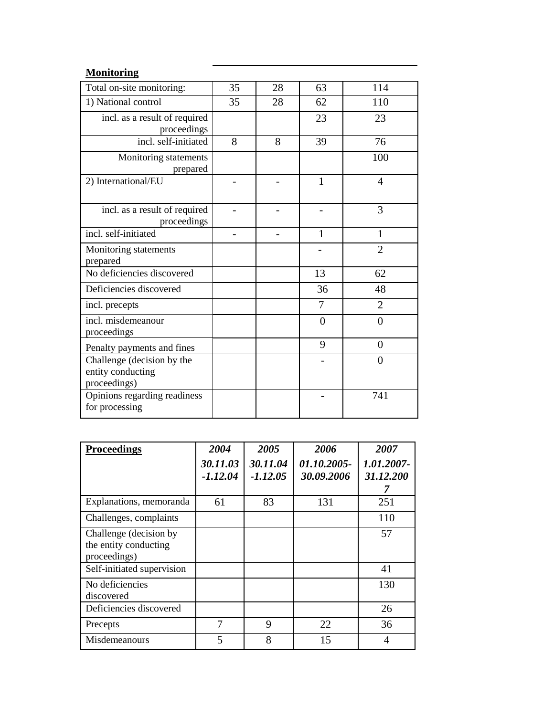## **Monitoring**

| Total on-site monitoring:                                       | 35 | 28 | 63             | 114            |
|-----------------------------------------------------------------|----|----|----------------|----------------|
| 1) National control                                             | 35 | 28 | 62             | 110            |
| incl. as a result of required<br>proceedings                    |    |    | 23             | 23             |
| incl. self-initiated                                            | 8  | 8  | 39             | 76             |
| Monitoring statements<br>prepared                               |    |    |                | 100            |
| 2) International/EU                                             |    |    | $\mathbf{1}$   | $\overline{4}$ |
| incl. as a result of required<br>proceedings                    |    |    |                | 3              |
| incl. self-initiated                                            |    |    | 1              | $\mathbf{1}$   |
| Monitoring statements<br>prepared                               |    |    |                | $\overline{2}$ |
| No deficiencies discovered                                      |    |    | 13             | 62             |
| Deficiencies discovered                                         |    |    | 36             | 48             |
| incl. precepts                                                  |    |    | $\overline{7}$ | $\overline{2}$ |
| incl. misdemeanour<br>proceedings                               |    |    | $\theta$       | $\overline{0}$ |
| Penalty payments and fines                                      |    |    | 9              | $\overline{0}$ |
| Challenge (decision by the<br>entity conducting<br>proceedings) |    |    |                | $\overline{0}$ |
| Opinions regarding readiness<br>for processing                  |    |    |                | 741            |

| <b>Proceedings</b>                                              | 2004                   | 2005                   | 2006                      | 2007                    |
|-----------------------------------------------------------------|------------------------|------------------------|---------------------------|-------------------------|
|                                                                 | 30.11.03<br>$-1.12.04$ | 30.11.04<br>$-1.12.05$ | 01.10.2005-<br>30.09.2006 | 1.01.2007-<br>31.12.200 |
| Explanations, memoranda                                         | 61                     | 83                     | 131                       | 251                     |
| Challenges, complaints                                          |                        |                        |                           | 110                     |
| Challenge (decision by<br>the entity conducting<br>proceedings) |                        |                        |                           | 57                      |
| Self-initiated supervision                                      |                        |                        |                           | 41                      |
| No deficiencies<br>discovered                                   |                        |                        |                           | 130                     |
| Deficiencies discovered                                         |                        |                        |                           | 26                      |
| Precepts                                                        | 7                      | 9                      | 22                        | 36                      |
| Misdemeanours                                                   | 5                      | 8                      | 15                        | 4                       |